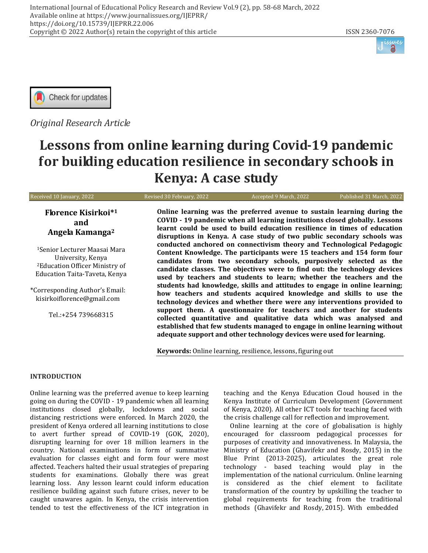



*Original Research Article*

# **Lessons from online learning during Covid-19 pandemic for building education resilience in secondary schools in Kenya: A case study**

Received 10 January, 2022 Revised 30 February, 2022 Accepted 9 March, 2022 Published 31 March, 2022 **Florence Kisirkoi\* 1 and Angela Kamanga<sup>2</sup>** <sup>1</sup>Senior Lecturer Maasai Mara University, Kenya <sup>2</sup>Education Officer Ministry of Education Taita-Taveta, Kenya \*Corresponding Author's Email: kisirkoiflorence@gmail.com Tel.:+254 739668315 **Online learning was the preferred avenue to sustain learning during the COVID - 19 pandemic when all learning institutions closed globally. Lessons learnt could be used to build education resilience in times of education disruptions in Kenya. A case study of two public secondary schools was conducted anchored on connectivism theory and Technological Pedagogic Content Knowledge. The participants were 15 teachers and 154 form four candidates from two secondary schools, purposively selected as the candidate classes. The objectives were to find out: the technology devices used by teachers and students to learn; whether the teachers and the students had knowledge, skills and attitudes to engage in online learning; how teachers and students acquired knowledge and skills to use the technology devices and whether there were any interventions provided to support them. A questionnaire for teachers and another for students collected quantitative and qualitative data which was analysed and established that few students managed to engage in online learning without adequate support and other technology devices were used for learning.**

**Keywords:** Online learning, resilience, lessons, figuring out

## **INTRODUCTION**

Online learning was the preferred avenue to keep learning going on during the COVID - 19 pandemic when all learning institutions closed globally, lockdowns and social distancing restrictions were enforced. In March 2020, the president of Kenya ordered all learning institutions to close to avert further spread of COVID-19 (GOK, 2020), disrupting learning for over 18 million learners in the country. National examinations in form of summative evaluation for classes eight and form four were most affected. Teachers halted their usual strategies of preparing students for examinations. Globally there was great learning loss. Any lesson learnt could inform education resilience building against such future crises, never to be caught unawares again. In Kenya, the crisis intervention tended to test the effectiveness of the ICT integration in teaching and the Kenya Education Cloud housed in the Kenya Institute of Curriculum Development (Government of Kenya, 2020). All other ICT tools for teaching faced with the crisis challenge call for reflection and improvement.

Online learning at the core of globalisation is highly encouraged for classroom pedagogical processes for purposes of creativity and innovativeness. In Malaysia, the Ministry of Education (Ghavifekr and Rosdy, 2015) in the Blue Print (2013-2025), articulates the great role technology - based teaching would play in the implementation of the national curriculum. Online learning is considered as the chief element to facilitate transformation of the country by upskilling the teacher to global requirements for teaching from the traditional methods (Ghavifekr and Rosdy, 2015). With embedded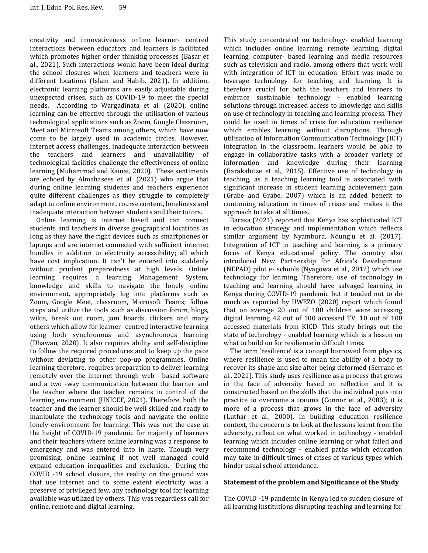creativity and innovativeness online learner- centred interactions between educators and learners is facilitated which promotes higher order thinking processes (Basar et al., 2021). Such interactions would have been ideal during the school closures when learners and teachers were in different locations (Islam and Habib, 2021). In addition, electronic learning platforms are easily adjustable during unexpected crises, such as COVID-19 to meet the special needs. According to Wargadinata et al. (2020), online learning can be effective through the utilisation of various technological applications such as Zoom, Google Classroom, Meet and Microsoft Teams among others, which have now come to be largely used in academic circles. However, internet access challenges, inadequate interaction between the teachers and learners and unavailability of technological facilities challenge the effectiveness of online learning (Muhammad and Kainat, 2020). These sentiments are echoed by Almahasees et al. (2021) who argue that during online learning students and teachers experience quite different challenges as they struggle to completely adapt to online environment, course content, loneliness and inadequate interaction between students and their tutors.

Online learning is internet based and can connect students and teachers in diverse geographical locations as long as they have the right devices such as smartphones or laptops and are internet connected with sufficient internet bundles in addition to electricity accessibility; all which have cost implication. It can't be entered into suddenly without prudent preparedness at high levels. Online learning requires a learning Management System, knowledge and skills to navigate the lonely online environment, appropriately log into platforms such as Zoom, Google Meet, classroom, Microsoft Teams; follow steps and utilize the tools such as discussion forum, blogs, wikis, break out room, jam boards, clickers and many others which allow for learner- centred interactive learning using both synchronous and asynchronous learning (Dhawan, 2020). It also requires ability and self-discipline to follow the required procedures and to keep up the pace without deviating to other pop-up programmes. Online learning therefore, requires preparation to deliver learning remotely over the internet through web - based software and a two -way communication between the learner and the teacher where the teacher remains in control of the learning environment (UNICEF, 2021). Therefore, both the teacher and the learner should be well skilled and ready to manipulate the technology tools and navigate the online lonely environment for learning. This was not the case at the height of COVID-19 pandemic for majority of learners and their teachers where online learning was a response to emergency and was entered into in haste. Though very promising, online learning if not well managed could expand education inequalities and exclusion. During the COVID -19 school closure, the reality on the ground was that use internet and to some extent electricity was a preserve of privileged few, any technology tool for learning available was utilized by others. This was regardless call for online, remote and digital learning.

This study concentrated on technology- enabled learning which includes online learning, remote learning, digital learning, computer- based learning and media resources such as television and radio, among others that work well with integration of ICT in education. Effort was made to leverage technology for teaching and learning. It is therefore crucial for both the teachers and learners to embrace sustainable technology - enabled learning solutions through increased access to knowledge and skills on use of technology in teaching and learning process. They could be used in times of crisis for education resilience which enables learning without disruptions. Through utilisation of Information Communication Technology (ICT) integration in the classroom, learners would be able to engage in collaborative tasks with a broader variety of information and knowledge during their learning (Barakabitze et al., 2015). Effective use of technology in teaching, as a teaching learning tool is associated with significant increase in student learning achievement gain (Grabe and Grabe, 2007) which is an added benefit to continuing education in times of crises and makes it the approach to take at all times.

Barasa (2021) reported that Kenya has sophisticated ICT in education strategy and implementation which reflects similar argument by Nyambura, Ndung'u et al. (2017). Integration of ICT in teaching and learning is a primary focus of Kenya educational policy. The country also introduced New Partnership for Africa's Development (NEPAD) pilot e- schools (Nyagowa et al., 2012) which use technology for learning. Therefore, use of technology in teaching and learning should have salvaged learning in Kenya during COVID-19 pandemic but it tended not to do much as reported by UWEZO (2020) report which found that on average 20 out of 100 children were accessing digital learning 42 out of 100 accessed TV, 10 out of 100 accessed materials from KICD. This study brings out the state of technology - enabled learning which is a lesson on what to build on for resilience in difficult times.

The term 'resilience' is a concept borrowed from physics, where resilience is used to mean the ability of a body to recover its shape and size after being deformed (Serrano et al., 2021). This study uses resilience as a process that grows in the face of adversity based on reflection and it is constructed based on the skills that the individual puts into practice to overcome a trauma (Connor et al., 2003); it is more of a process that grows in the face of adversity (Luthar et al., 2000). In building education resilience context, the concern is to look at the lessons learnt from the adversity, reflect on what worked in technology - enabled learning which includes online learning or what failed and recommend technology - enabled paths which education may take in difficult times of crises of various types which hinder usual school attendance.

#### **Statement of the problem and Significance of the Study**

The COVID -19 pandemic in Kenya led to sudden closure of all learning institutions disrupting teaching and learning for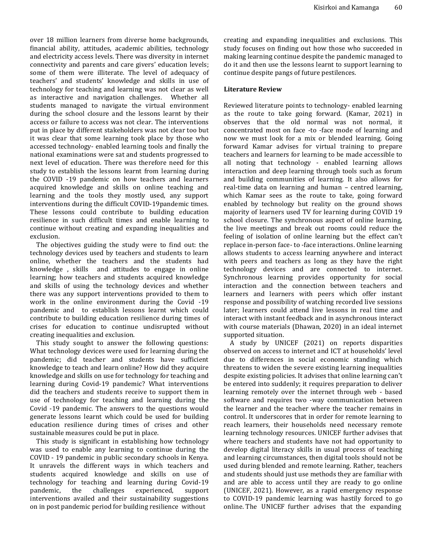over 18 million learners from diverse home backgrounds, financial ability, attitudes, academic abilities, technology and electricity access levels. There was diversity in internet connectivity and parents and care givers' education levels; some of them were illiterate. The level of adequacy of teachers' and students' knowledge and skills in use of technology for teaching and learning was not clear as well as interactive and navigation challenges. Whether all students managed to navigate the virtual environment during the school closure and the lessons learnt by their access or failure to access was not clear. The interventions put in place by different stakeholders was not clear too but it was clear that some learning took place by those who accessed technology- enabled learning tools and finally the national examinations were sat and students progressed to next level of education. There was therefore need for this study to establish the lessons learnt from learning during the COVID -19 pandemic on how teachers and learners acquired knowledge and skills on online teaching and learning and the tools they mostly used, any support interventions during the difficult COVID-19pandemic times. These lessons could contribute to building education resilience in such difficult times and enable learning to continue without creating and expanding inequalities and exclusion.

The objectives guiding the study were to find out: the technology devices used by teachers and students to learn online, whether the teachers and the students had knowledge , skills and attitudes to engage in online learning; how teachers and students acquired knowledge and skills of using the technology devices and whether there was any support interventions provided to them to work in the online environment during the Covid -19 pandemic and to establish lessons learnt which could contribute to building education resilience during times of crises for education to continue undisrupted without creating inequalities and exclusion.

This study sought to answer the following questions: What technology devices were used for learning during the pandemic; did teacher and students have sufficient knowledge to teach and learn online? How did they acquire knowledge and skills on use for technology for teaching and learning during Covid-19 pandemic? What interventions did the teachers and students receive to support them in use of technology for teaching and learning during the Covid -19 pandemic. The answers to the questions would generate lessons learnt which could be used for building education resilience during times of crises and other sustainable measures could be put in place.

This study is significant in establishing how technology was used to enable any learning to continue during the COVID - 19 pandemic in public secondary schools in Kenya. It unravels the different ways in which teachers and students acquired knowledge and skills on use of technology for teaching and learning during Covid-19 pandemic, the challenges experienced, support interventions availed and their sustainability suggestions on in post pandemic period for building resilience without

creating and expanding inequalities and exclusions. This study focuses on finding out how those who succeeded in making learning continue despite the pandemic managed to do it and then use the lessons learnt to support learning to continue despite pangs of future pestilences.

## **Literature Review**

Reviewed literature points to technology- enabled learning as the route to take going forward. (Kamar, 2021) in observes that the old normal was not normal, it concentrated most on face -to -face mode of learning and now we must look for a mix or blended learning. Going forward Kamar advises for virtual training to prepare teachers and learners for learning to be made accessible to all noting that technology - enabled learning allows interaction and deep learning through tools such as forum and building communities of learning. It also allows for real-time data on learning and human – centred learning, which Kamar sees as the route to take, going forward enabled by technology but reality on the ground shows majority of learners used TV for learning during COVID 19 school closure. The synchronous aspect of online learning, the live meetings and break out rooms could reduce the feeling of isolation of online learning but the effect can't replace in-person face- to -face interactions. Online learning allows students to access learning anywhere and interact with peers and teachers as long as they have the right technology devices and are connected to internet. Synchronous learning provides opportunity for social interaction and the connection between teachers and learners and learners with peers which offer instant response and possibility of watching recorded live sessions later; learners could attend live lessons in real time and interact with instant feedback and in asynchronous interact with course materials (Dhawan, 2020) in an ideal internet supported situation.

A study by UNICEF (2021) on reports disparities observed on access to internet and ICT at households' level due to differences in social economic standing which threatens to widen the severe existing learning inequalities despite existing policies. It advises that online learning can't be entered into suddenly; it requires preparation to deliver learning remotely over the internet through web - based software and requires two -way communication between the learner and the teacher where the teacher remains in control. It underscores that in order for remote learning to reach learners, their households need necessary remote learning technology resources. UNICEF further advises that where teachers and students have not had opportunity to develop digital literacy skills in usual process of teaching and learning circumstances, then digital tools should not be used during blended and remote learning. Rather, teachers and students should just use methods they are familiar with and are able to access until they are ready to go online (UNICEF, 2021). However, as a rapid emergency response to COVID-19 pandemic learning was hastily forced to go online. The UNICEF further advises that the expanding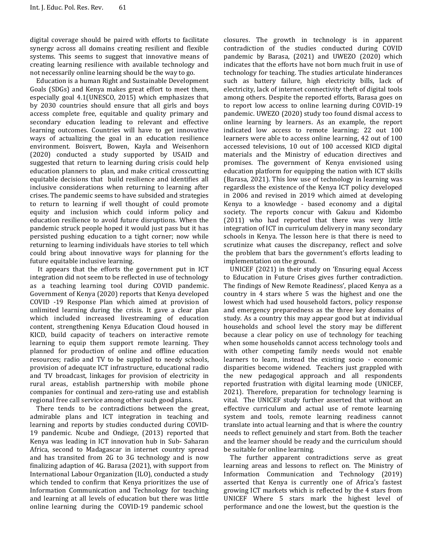digital coverage should be paired with efforts to facilitate synergy across all domains creating resilient and flexible systems. This seems to suggest that innovative means of creating learning resilience with available technology and not necessarily online learning should be the way to go.

Education is a human Right and Sustainable Development Goals (SDGs) and Kenya makes great effort to meet them, especially goal 4.1(UNESCO, 2015) which emphasizes that by 2030 countries should ensure that all girls and boys access complete free, equitable and quality primary and secondary education leading to relevant and effective learning outcomes. Countries will have to get innovative ways of actualizing the goal in an education resilience environment. Boisvert, Bowen, Kayla and Weisenhorn (2020) conducted a study supported by USAID and suggested that return to learning during crisis could help education planners to plan, and make critical crosscutting equitable decisions that build resilience and identifies all inclusive considerations when returning to learning after crises. The pandemic seems to have subsided and strategies to return to learning if well thought of could promote equity and inclusion which could inform policy and education resilience to avoid future disruptions. When the pandemic struck people hoped it would just pass but it has persisted pushing education to a tight corner; now while returning to learning individuals have stories to tell which could bring about innovative ways for planning for the future equitable inclusive learning.

It appears that the efforts the government put in ICT integration did not seem to be reflected in use of technology as a teaching learning tool during COVID pandemic. Government of Kenya (2020) reports that Kenya developed COVID -19 Response Plan which aimed at provision of unlimited learning during the crisis. It gave a clear plan which included increased livestreaming of education content, strengthening Kenya Education Cloud housed in KICD, build capacity of teachers on interactive remote learning to equip them support remote learning. They planned for production of online and offline education resources; radio and TV to be supplied to needy schools, provision of adequate ICT infrastructure, educational radio and TV broadcast, linkages for provision of electricity in rural areas, establish partnership with mobile phone companies for continual and zero-rating use and establish regional free call service among other such good plans.

There tends to be contradictions between the great, admirable plans and ICT integration in teaching and learning and reports by studies conducted during COVID-19 pandemic. Ncube and Ondiege, (2013) reported that Kenya was leading in ICT innovation hub in Sub- Saharan Africa, second to Madagascar in internet country spread and has transited from 2G to 3G technology and is now finalizing adaption of 4G. Barasa (2021), with support from International Labour Organization (ILO), conducted a study which tended to confirm that Kenya prioritizes the use of Information Communication and Technology for teaching and learning at all levels of education but there was little online learning during the COVID-19 pandemic school

closures. The growth in technology is in apparent contradiction of the studies conducted during COVID pandemic by Barasa, (2021) and UWEZO (2020) which indicates that the efforts have not born much fruit in use of technology for teaching. The studies articulate hinderances such as battery failure, high electricity bills, lack of electricity, lack of internet connectivity theft of digital tools among others. Despite the reported efforts, Barasa goes on to report low access to online learning during COVID-19 pandemic. UWEZO (2020) study too found dismal access to online learning by learners. As an example, the report indicated low access to remote learning; 22 out 100 learners were able to access online learning, 42 out of 100 accessed televisions, 10 out of 100 accessed KICD digital materials and the Ministry of education directives and promises. The government of Kenya envisioned using education platform for equipping the nation with ICT skills (Barasa, 2021). This low use of technology in learning was regardless the existence of the Kenya ICT policy developed in 2006 and revised in 2019 which aimed at developing Kenya to a knowledge - based economy and a digital society. The reports concur with Gakuu and Kidombo (2011) who had reported that there was very little integration of ICT in curriculum delivery in many secondary schools in Kenya. The lesson here is that there is need to scrutinize what causes the discrepancy, reflect and solve the problem that bars the government's efforts leading to implementation on the ground.

UNICEF (2021) in their study on 'Ensuring equal Access to Education in Future Crises gives further contradiction. The findings of New Remote Readiness', placed Kenya as a country in 4 stars where 5 was the highest and one the lowest which had used household factors, policy response and emergency preparedness as the three key domains of study. As a country this may appear good but at individual households and school level the story may be different because a clear policy on use of technology for teaching when some households cannot access technology tools and with other competing family needs would not enable learners to learn, instead the existing socio - economic disparities become widened. Teachers just grappled with the new pedagogical approach and all respondents reported frustration with digital learning mode (UNICEF, 2021). Therefore, preparation for technology learning is vital. The UNICEF study further asserted that without an effective curriculum and actual use of remote learning system and tools, remote learning readiness cannot translate into actual learning and that is where the country needs to reflect genuinely and start from. Both the teacher and the learner should be ready and the curriculum should be suitable for online learning.

The further apparent contradictions serve as great learning areas and lessons to reflect on. The Ministry of Information Communication and Technology (2019) asserted that Kenya is currently one of Africa's fastest growing ICT markets which is reflected by the 4 stars from UNICEF Where 5 stars mark the highest level of performance and one the lowest, but the question is the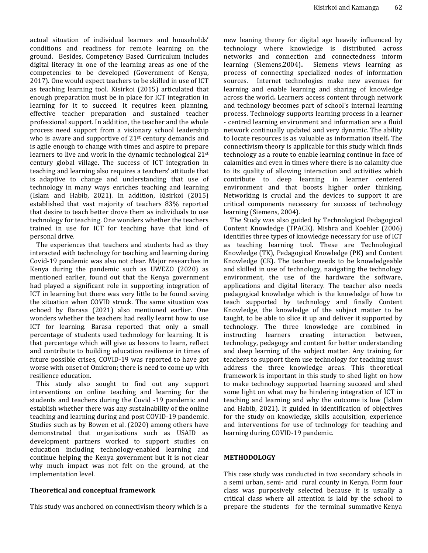actual situation of individual learners and households' conditions and readiness for remote learning on the ground. Besides, Competency Based Curriculum includes digital literacy in one of the learning areas as one of the competencies to be developed (Government of Kenya, 2017). One would expect teachers to be skilled in use of ICT as teaching learning tool. Kisirkoi (2015) articulated that enough preparation must be in place for ICT integration in learning for it to succeed. It requires keen planning, effective teacher preparation and sustained teacher professional support. In addition, the teacher and the whole process need support from a visionary school leadership who is aware and supportive of 21<sup>st</sup> century demands and is agile enough to change with times and aspire to prepare learners to live and work in the dynamic technological 21<sup>st</sup> century global village. The success of ICT integration in teaching and learning also requires a teachers' attitude that is adaptive to change and understanding that use of technology in many ways enriches teaching and learning (Islam and Habib, 2021). In addition, Kisirkoi (2015) established that vast majority of teachers 83% reported that desire to teach better drove them as individuals to use technology for teaching. One wonders whether the teachers trained in use for ICT for teaching have that kind of personal drive.

The experiences that teachers and students had as they interacted with technology for teaching and learning during Covid-19 pandemic was also not clear. Major researches in Kenya during the pandemic such as UWEZO (2020) as mentioned earlier, found out that the Kenya government had played a significant role in supporting integration of ICT in learning but there was very little to be found saving the situation when COVID struck. The same situation was echoed by Barasa (2021) also mentioned earlier. One wonders whether the teachers had really learnt how to use ICT for learning. Barasa reported that only a small percentage of students used technology for learning. It is that percentage which will give us lessons to learn, reflect and contribute to building education resilience in times of future possible crises, COVID-19 was reported to have got worse with onset of Omicron; there is need to come up with resilience education.

This study also sought to find out any support interventions on online teaching and learning for the students and teachers during the Covid -19 pandemic and establish whether there was any sustainability of the online teaching and learning during and post COVID-19 pandemic. Studies such as by Bowen et al. (2020) among others have demonstrated that organizations such as USAID as development partners worked to support studies on education including technology-enabled learning and continue helping the Kenya government but it is not clear why much impact was not felt on the ground, at the implementation level.

#### **Theoretical and conceptual framework**

This study was anchored on connectivism theory which is a

new leaning theory for digital age heavily influenced by technology where knowledge is distributed across networks and connection and connectedness inform learning (Siemens,2004)**.** Siemens views learning as process of connecting specialized nodes of information sources. Internet technologies make new avenues for learning and enable learning and sharing of knowledge across the world**.** Learners access content through network and technology becomes part of school's internal learning process. Technology supports learning process in a learner - centred learning environment and information are a fluid network continually updated and very dynamic. The ability to locate resources is as valuable as information itself**.** The connectivism theory is applicable for this study which finds technology as a route to enable learning continue in face of calamities and even in times where there is no calamity due to its quality of allowing interaction and activities which contribute to deep learning in learner centered environment and that boosts higher order thinking. Networking is crucial and the devices to support it are critical components necessary for success of technology learning (Siemens, 2004).

The Study was also guided by Technological Pedagogical Content Knowledge (TPACK). Mishra and Koehler (2006) identifies three types of knowledge necessary for use of ICT as teaching learning tool. These are Technological Knowledge (TK), Pedagogical Knowledge (PK) and Content Knowledge (CK). The teacher needs to be knowledgeable and skilled in use of technology, navigating the technology environment, the use of the hardware the software, applications and digital literacy. The teacher also needs pedagogical knowledge which is the knowledge of how to teach supported by technology and finally Content Knowledge, the knowledge of the subject matter to be taught, to be able to slice it up and deliver it supported by technology. The three knowledge are combined in instructing learners creating interaction between, technology, pedagogy and content for better understanding and deep learning of the subject matter. Any training for teachers to support them use technology for teaching must address the three knowledge areas. This theoretical framework is important in this study to shed light on how to make technology supported learning succeed and shed some light on what may be hindering integration of ICT in teaching and learning and why the outcome is low (Islam and Habib, 2021). It guided in identification of objectives for the study on knowledge, skills acquisition, experience and interventions for use of technology for teaching and learning during COVID-19 pandemic.

## **METHODOLOGY**

This case study was conducted in two secondary schools in a semi urban, semi- arid rural county in Kenya. Form four class was purposively selected because it is usually a critical class where all attention is laid by the school to prepare the students for the terminal summative Kenya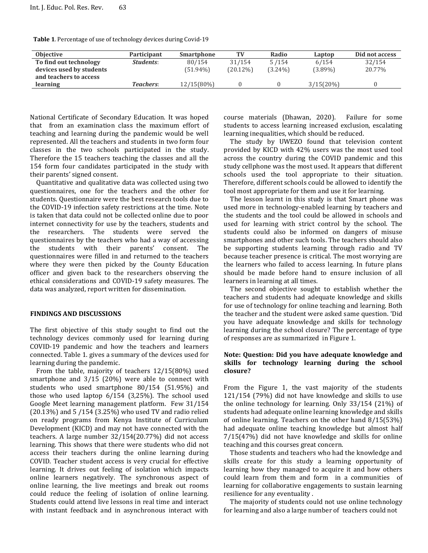| <b>Objective</b>         | <b>Participant</b> | <b>Smartphone</b> | TV          | Radio      | Laptop       | Did not access |
|--------------------------|--------------------|-------------------|-------------|------------|--------------|----------------|
| To find out technology   | <i>Students:</i>   | 80/154            | 31/154      | 5/154      | 6/154        | 32/154         |
| devices used by students |                    | $(51.94\%)$       | $(20.12\%)$ | $(3.24\%)$ | $(3.89\%)$   | 20.77%         |
| and teachers to access   |                    |                   |             |            |              |                |
| learning                 | Teachers:          | 12/15(80%)        |             |            | $3/15(20\%)$ |                |

**Table 1**. Percentage of use of technology devices during Covid-19

National Certificate of Secondary Education. It was hoped that from an examination class the maximum effort of teaching and learning during the pandemic would be well represented. All the teachers and students in two form four classes in the two schools participated in the study. Therefore the 15 teachers teaching the classes and all the 154 form four candidates participated in the study with their parents' signed consent.

Quantitative and qualitative data was collected using two questionnaires, one for the teachers and the other for students. Questionnaire were the best research tools due to the COVID-19 infection safety restrictions at the time. Note is taken that data could not be collected online due to poor internet connectivity for use by the teachers, students and the researchers. The students were served the questionnaires by the teachers who had a way of accessing the students with their parents' consent. The questionnaires were filled in and returned to the teachers where they were then picked by the County Education officer and given back to the researchers observing the ethical considerations and COVID-19 safety measures. The data was analyzed, report written for dissemination.

#### **FINDINGS AND DISCUSSIONS**

The first objective of this study sought to find out the technology devices commonly used for learning during COVID-19 pandemic and how the teachers and learners connected. Table 1. gives a summary of the devices used for learning during the pandemic.

From the table, majority of teachers 12/15(80%) used smartphone and 3/15 (20%) were able to connect with students who used smartphone 80/154 (51.95%) and those who used laptop 6/154 (3,25%). The school used Google Meet learning management platform. Few 31/154 (20.13%) and 5 /154 (3.25%) who used TV and radio relied on ready programs from Kenya Institute of Curriculum Development (KICD) and may not have connected with the teachers. A large number 32/154(20.77%) did not access learning. This shows that there were students who did not access their teachers during the online learning during COVID. Teacher student access is very crucial for effective learning. It drives out feeling of isolation which impacts online learners negatively. The synchronous aspect of online learning, the live meetings and break out rooms could reduce the feeling of isolation of online learning. Students could attend live lessons in real time and interact with instant feedback and in asynchronous interact with course materials (Dhawan, 2020). Failure for some students to access learning increased exclusion, escalating learning inequalities, which should be reduced.

The study by UWEZO found that television content provided by KICD with 42% users was the most used tool across the country during the COVID pandemic and this study cellphone was the most used. It appears that different schools used the tool appropriate to their situation. Therefore, different schools could be allowed to identify the tool most appropriate for them and use it for learning.

The lesson learnt in this study is that Smart phone was used more in technology-enabled learning by teachers and the students and the tool could be allowed in schools and used for learning with strict control by the school. The students could also be informed on dangers of misuse smartphones and other such tools. The teachers should also be supporting students learning through radio and TV because teacher presence is critical. The most worrying are the learners who failed to access learning. In future plans should be made before hand to ensure inclusion of all learners in learning at all times.

The second objective sought to establish whether the teachers and students had adequate knowledge and skills for use of technology for online teaching and learning. Both the teacher and the student were asked same question. 'Did you have adequate knowledge and skills for technology learning during the school closure? The percentage of type of responses are as summarized in Figure 1.

### **Note: Question: Did you have adequate knowledge and skills for technology learning during the school closure?**

From the Figure 1, the vast majority of the students 121/154 (79%) did not have knowledge and skills to use the online technology for learning. Only 33/154 (21%) of students had adequate online learning knowledge and skills of online learning. Teachers on the other hand 8/15(53%) had adequate online teaching knowledge but almost half 7/15(47%) did not have knowledge and skills for online teaching and this courses great concern.

Those students and teachers who had the knowledge and skills create for this study a learning opportunity of learning how they managed to acquire it and how others could learn from them and form in a communities of learning for collaborative engagements to sustain learning resilience for any eventuality .

The majority of students could not use online technology for learning and also a large number of teachers could not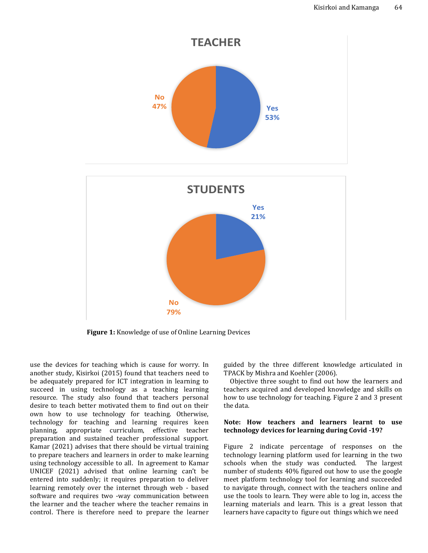

**Figure 1:** Knowledge of use of Online Learning Devices

use the devices for teaching which is cause for worry. In another study, Kisirkoi (2015) found that teachers need to be adequately prepared for ICT integration in learning to succeed in using technology as a teaching learning resource. The study also found that teachers personal desire to teach better motivated them to find out on their own how to use technology for teaching. Otherwise, technology for teaching and learning requires keen planning, appropriate curriculum, effective teacher preparation and sustained teacher professional support. Kamar (2021) advises that there should be virtual training to prepare teachers and learners in order to make learning using technology accessible to all. In agreement to Kamar UNICEF (2021) advised that online learning can't be entered into suddenly; it requires preparation to deliver learning remotely over the internet through web - based software and requires two -way communication between the learner and the teacher where the teacher remains in control. There is therefore need to prepare the learner guided by the three different knowledge articulated in TPACK by Mishra and Koehler (2006).

Objective three sought to find out how the learners and teachers acquired and developed knowledge and skills on how to use technology for teaching. Figure 2 and 3 present the data.

#### **Note: How teachers and learners learnt to use technology devices for learning during Covid -19?**

Figure 2 indicate percentage of responses on the technology learning platform used for learning in the two schools when the study was conducted. The largest number of students 40% figured out how to use the google meet platform technology tool for learning and succeeded to navigate through, connect with the teachers online and use the tools to learn. They were able to log in, access the learning materials and learn. This is a great lesson that learners have capacity to figure out things which we need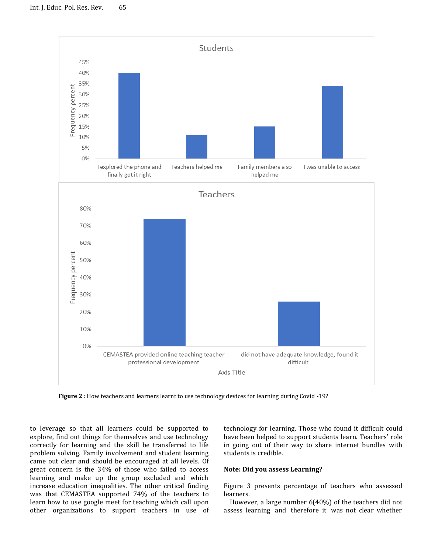

**Figure 2 :** How teachers and learners learnt to use technology devices for learning during Covid -19?

to leverage so that all learners could be supported to explore, find out things for themselves and use technology correctly for learning and the skill be transferred to life problem solving. Family involvement and student learning came out clear and should be encouraged at all levels. Of great concern is the 34% of those who failed to access learning and make up the group excluded and which increase education inequalities. The other critical finding was that CEMASTEA supported 74% of the teachers to learn how to use google meet for teaching which call upon other organizations to support teachers in use of

technology for learning. Those who found it difficult could have been helped to support students learn. Teachers' role in going out of their way to share internet bundles with students is credible.

#### **Note: Did you assess Learning?**

Figure 3 presents percentage of teachers who assessed learners.

However, a large number 6(40%) of the teachers did not assess learning and therefore it was not clear whether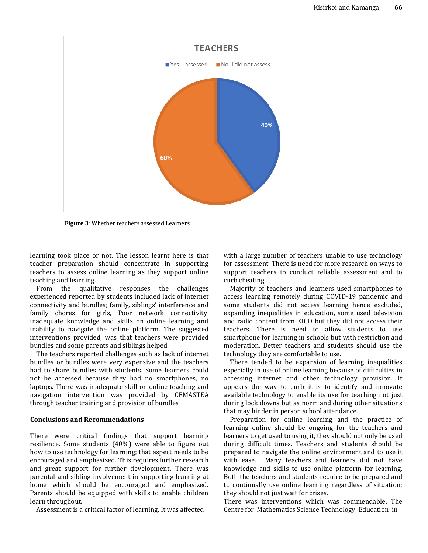

**Figure 3**: Whether teachers assessed Learners

learning took place or not. The lesson learnt here is that teacher preparation should concentrate in supporting teachers to assess online learning as they support online teaching and learning.

From the qualitative responses the challenges experienced reported by students included lack of internet connectivity and bundles; family, siblings' interference and family chores for girls, Poor network connectivity, inadequate knowledge and skills on online learning and inability to navigate the online platform. The suggested interventions provided, was that teachers were provided bundles and some parents and siblings helped

The teachers reported challenges such as lack of internet bundles or bundles were very expensive and the teachers had to share bundles with students. Some learners could not be accessed because they had no smartphones, no laptops. There was inadequate skill on online teaching and navigation intervention was provided by CEMASTEA through teacher training and provision of bundles

### **Conclusions and Recommendations**

There were critical findings that support learning resilience. Some students (40%) were able to figure out how to use technology for learning; that aspect needs to be encouraged and emphasized. This requires further research and great support for further development. There was parental and sibling involvement in supporting learning at home which should be encouraged and emphasized. Parents should be equipped with skills to enable children learn throughout.

Assessment is a critical factor of learning. It was affected

with a large number of teachers unable to use technology for assessment. There is need for more research on ways to support teachers to conduct reliable assessment and to curb cheating.

Majority of teachers and learners used smartphones to access learning remotely during COVID-19 pandemic and some students did not access learning hence excluded, expanding inequalities in education, some used television and radio content from KICD but they did not access their teachers. There is need to allow students to use smartphone for learning in schools but with restriction and moderation. Better teachers and students should use the technology they are comfortable to use.

There tended to be expansion of learning inequalities especially in use of online learning because of difficulties in accessing internet and other technology provision. It appears the way to curb it is to identify and innovate available technology to enable its use for teaching not just during lock downs but as norm and during other situations that may hinder in person school attendance.

Preparation for online learning and the practice of learning online should be ongoing for the teachers and learners to get used to using it, they should not only be used during difficult times. Teachers and students should be prepared to navigate the online environment and to use it with ease. Many teachers and learners did not have knowledge and skills to use online platform for learning. Both the teachers and students require to be prepared and to continually use online learning regardless of situation; they should not just wait for crises.

There was interventions which was commendable. The Centre for Mathematics Science Technology Education in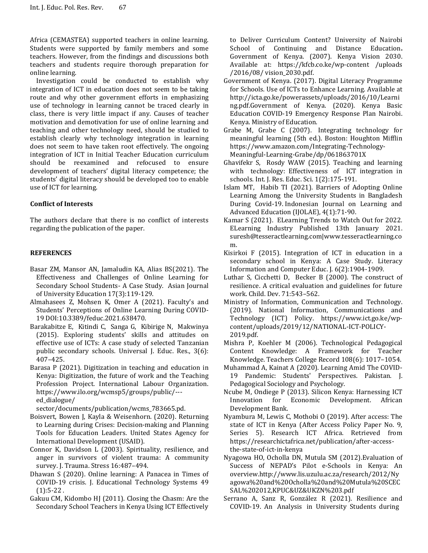Africa (CEMASTEA) supported teachers in online learning. Students were supported by family members and some teachers. However, from the findings and discussions both teachers and students require thorough preparation for online learning.

Investigation could be conducted to establish why integration of ICT in education does not seem to be taking route and why other government efforts in emphasizing use of technology in learning cannot be traced clearly in class, there is very little impact if any. Causes of teacher motivation and demotivation for use of online learning and teaching and other technology need, should be studied to establish clearly why technology integration in learning does not seem to have taken root effectively. The ongoing integration of ICT in Initial Teacher Education curriculum should be reexamined and refocused to ensure development of teachers' digital literacy competence; the students' digital literacy should be developed too to enable use of ICT for learning.

## **Conflict of Interests**

The authors declare that there is no conflict of interests regarding the publication of the paper.

### **REFERENCES**

- Basar ZM, Mansor AN, Jamaludin KA, Alias BS(2021). The Effectiveness and Challenges of Online Learning for Secondary School Students- A Case Study. Asian Journal of University Education 17(3):119-129.
- Almahasees Z, Mohsen K, Omer A (2021). Faculty's and Students' Perceptions of Online Learning During COVID-19 DOI[:10.3389/feduc.2021.638470.](http://dx.doi.org/10.3389/feduc.2021.638470)
- Barakabitze E, Kitindi C, Sanga G, Kibirige N, Makwinya (2015). Exploring students' skills and attitudes on effective use of ICTs: A case study of selected Tanzanian public secondary schools. Universal J. Educ. Res., 3(6): 407–425.
- Barasa P (2021). Digitization in teaching and education in Kenya: Digitization, the future of work and the Teaching Profession Project. International Labour Organization. https://www.ilo.org/wcmsp5/groups/public/-- ed\_dialogue/

sector/documents/publication/wcms 783665.pd.

- Boisvert, Bowen J, Kayla & Weisenhorn. (2020). Returning to Learning during Crises: Decision-making and Planning Tools for Education Leaders. United States Agency for International Development (USAID).
- Connor K, Davidson L (2003). Spirituality, resilience, and anger in survivors of violent trauma: A community survey. J. Trauma. Stress 16:487–494.
- Dhawan S (2020). Online learning: A Panacea in Times of COVID-19 crisis. J. Educational Technology Systems 49  $(1):$  5 - 22.
- Gakuu CM, Kidombo HJ (2011). Closing the Chasm: Are the Secondary School Teachers in Kenya Using ICT Effectively

to Deliver Curriculum Content? University of Nairobi School of Continuing and Distance Education**.**  Government of Kenya. (2007). Kenya Vision 2030. Available at: https://kfcb.co.ke/wp-content /uploads /2016/08/ vision\_2030.pdf.

- Government of Kenya. (2017). Digital Literacy Programme for Schools. Use of ICTs to Enhance Learning. Available at http://icta.go.ke/powerassets/uploads/2016/10/Learni ng.pdf.Government of Kenya. (2020). Kenya Basic Education COVID-19 Emergency Response Plan Nairobi. Kenya. Ministry of Education.
- Grabe M, Grabe C (2007). Integrating technology for meaningful learning (5th ed.). Boston: Houghton Mifflin https://www.amazon.com/Integrating-Technology-Meaningful-Learning-Grabe/dp/061863701X
- Ghavifekr S, Rosdy WAW (2015). Teaching and learning with technology: Effectiveness of ICT integration in schools*.* Int. J. Res. Educ. Sci. 1(2):175-191.
- Islam MT, Habib TI (2021). Barriers of Adopting Online Learning Among the University Students in Bangladesh During Covid-19. Indonesian Journal on Learning and Advanced Education (IJOLAE), 4(1):71-90.
- Kamar S (2021). ELearning Trends to Watch Out for 2022*.*  ELearning Industry Published 13th January 2021. suresh@tesseractlearning.com|www.tesseractlearning.co m.
- Kisirkoi F (2015). Integration of ICT in education in a secondary school in Kenya: A Case Study. Literacy Information and Computer Educ. J. 6(2):1904-1909.
- Luthar S, Cicchetti D, Becker B (2000). The construct of resilience. A critical evaluation and guidelines for future work. Child. Dev. 71:543–562.
- Ministry of Information, Communication and Technology. (2019). National Information, Communications and Technology (ICT) Policy. https://www.ict.go.ke/wpcontent/uploads/2019/12/NATIONAL-ICT-POLICY-2019.pdf.
- Mishra P, Koehler M (2006). Technological Pedagogical Content Knowledge: A Framework for Teacher Knowledge. Teachers College Record 108(6): 1017–1054.
- Muhammad A, Kainat A (2020). Learning Amid The COVID-19 Pandemic: Students' Perspectives. Pakistan. J. Pedagogical Sociology and Psychology.
- Ncube M, Ondiege P (2013). Silicon Kenya: Harnessing ICT Innovation for Economic Development. African Development Bank.
- Nyambura M, Lewis C, Mothobi O (2019). After access: The state of ICT in Kenya (After Access Policy Paper No. 9, Series 5). Research ICT Africa. Retrieved from https://researchictafrica.net/publication/after-accessthe-state-of-ict-in-kenya
- Nyagowa HO, Ocholla DN, Mutula SM (2012).Evaluation of Success of NEPAD's Pilot e-Schools in Kenya: An overview.http://www.lis.uzulu.ac.za/research/2012/Ny agowa%20and%20Ocholla%20and%20Mutula%20SCEC SAL%202012,KPUC&UZ&UKZN%203.pdf
- Serrano A, Sanz R, González R (2021). Resilience and COVID-19. An Analysis in University Students during